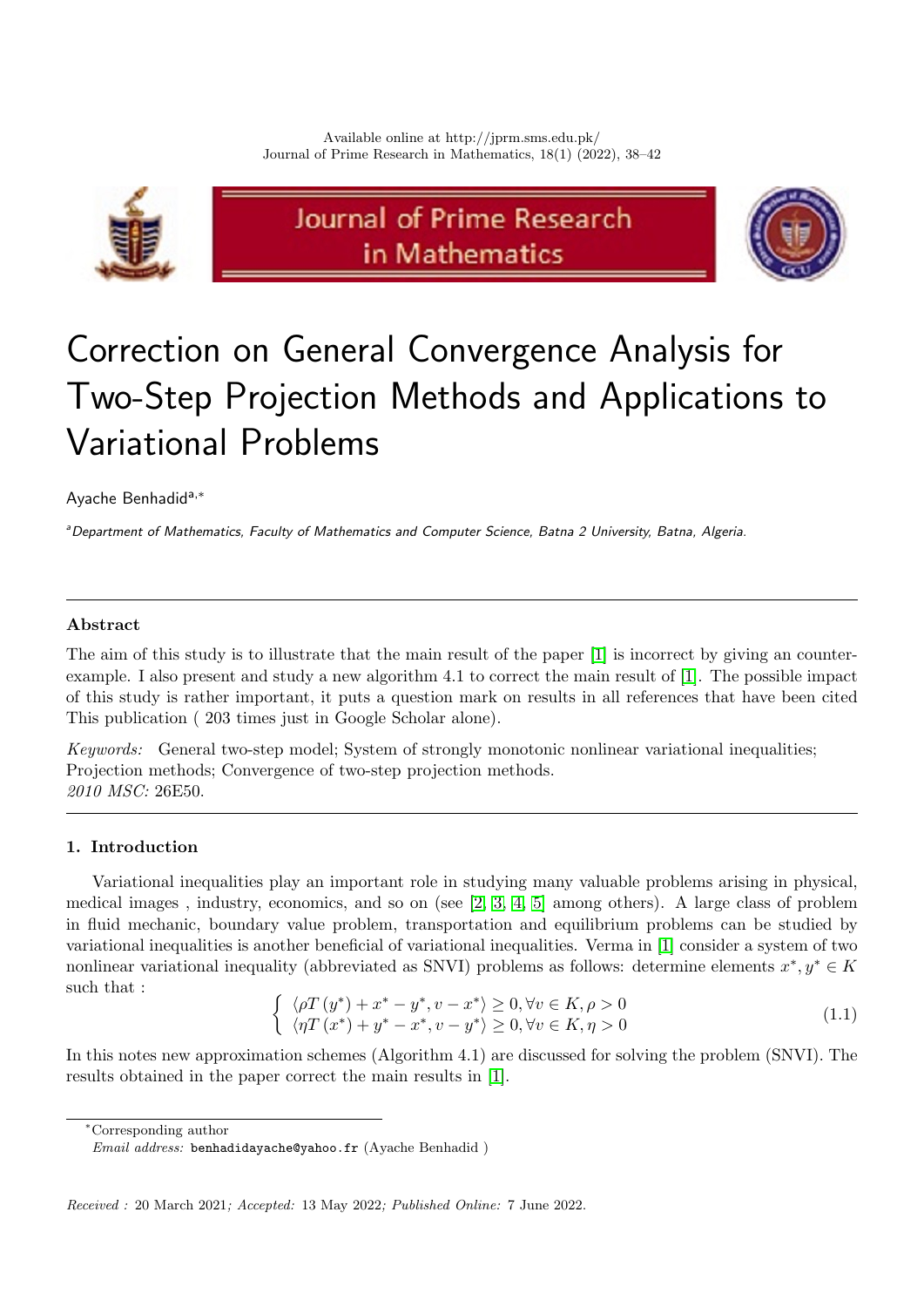

# Journal of Prime Research in Mathematics



# Correction on General Convergence Analysis for Two-Step Projection Methods and Applications to Variational Problems

# Ayache Benhadida,<sup>∗</sup>

aDepartment of Mathematics, Faculty of Mathematics and Computer Science, Batna 2 University, Batna, Algeria.

# Abstract

The aim of this study is to illustrate that the main result of the paper [\[1\]](#page-4-0) is incorrect by giving an counterexample. I also present and study a new algorithm 4.1 to correct the main result of [\[1\]](#page-4-0). The possible impact of this study is rather important, it puts a question mark on results in all references that have been cited This publication ( 203 times just in Google Scholar alone).

Keywords: General two-step model; System of strongly monotonic nonlinear variational inequalities; Projection methods; Convergence of two-step projection methods. 2010 MSC: 26E50.

## 1. Introduction

Variational inequalities play an important role in studying many valuable problems arising in physical, medical images , industry, economics, and so on (see [\[2,](#page-4-1) [3,](#page-4-2) [4,](#page-4-3) [5\]](#page-4-4) among others). A large class of problem in fluid mechanic, boundary value problem, transportation and equilibrium problems can be studied by variational inequalities is another beneficial of variational inequalities. Verma in [\[1\]](#page-4-0) consider a system of two nonlinear variational inequality (abbreviated as SNVI) problems as follows: determine elements  $x^*, y^* \in K$ such that :

<span id="page-0-0"></span>
$$
\begin{cases} \langle \rho T(y^*) + x^* - y^*, v - x^* \rangle \ge 0, \forall v \in K, \rho > 0\\ \langle \eta T(x^*) + y^* - x^*, v - y^* \rangle \ge 0, \forall v \in K, \eta > 0 \end{cases}
$$
\n(1.1)

In this notes new approximation schemes (Algorithm 4.1) are discussed for solving the problem (SNVI). The results obtained in the paper correct the main results in [\[1\]](#page-4-0).

<sup>∗</sup>Corresponding author

Email address: benhadidayache@yahoo.fr (Ayache Benhadid )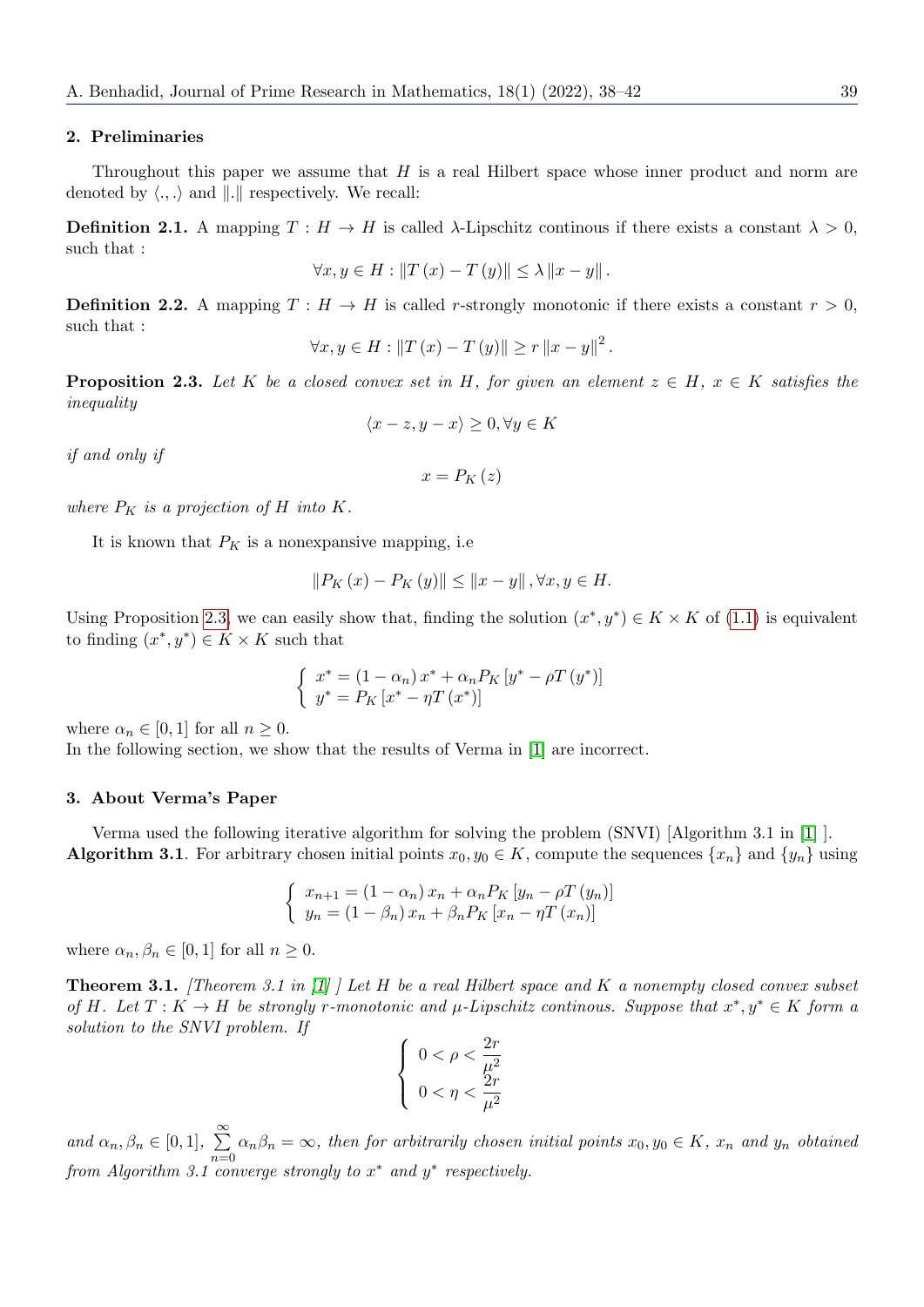#### 2. Preliminaries

Throughout this paper we assume that  $H$  is a real Hilbert space whose inner product and norm are denoted by  $\langle .,.\rangle$  and  $\|.\|$  respectively. We recall:

**Definition 2.1.** A mapping  $T : H \to H$  is called  $\lambda$ -Lipschitz continous if there exists a constant  $\lambda > 0$ , such that :

$$
\forall x, y \in H: \|T(x) - T(y)\| \le \lambda \|x - y\|.
$$

**Definition 2.2.** A mapping  $T : H \to H$  is called r-strongly monotonic if there exists a constant  $r > 0$ , such that :

$$
\forall x, y \in H: \|T(x) - T(y)\| \ge r \|x - y\|^2.
$$

<span id="page-1-0"></span>**Proposition 2.3.** Let K be a closed convex set in H, for given an element  $z \in H$ ,  $x \in K$  satisfies the inequality

$$
\langle x-z, y-x \rangle \ge 0, \forall y \in K
$$

if and only if

$$
x=P_{K}\left(z\right)
$$

where  $P_K$  is a projection of H into K.

It is known that  $P_K$  is a nonexpansive mapping, i.e.

$$
||P_K(x) - P_K(y)|| \le ||x - y||, \forall x, y \in H.
$$

Using Proposition [2.3,](#page-1-0) we can easily show that, finding the solution  $(x^*, y^*) \in K \times K$  of [\(1.1\)](#page-0-0) is equivalent to finding  $(x^*, y^*) \in K \times K$  such that

$$
\begin{cases}\nx^* = (1 - \alpha_n)x^* + \alpha_n P_K \left[ y^* - \rho T \left( y^* \right) \right] \\
y^* = P_K \left[ x^* - \eta T \left( x^* \right) \right]\n\end{cases}
$$

where  $\alpha_n \in [0,1]$  for all  $n \geq 0$ .

In the following section, we show that the results of Verma in [\[1\]](#page-4-0) are incorrect.

#### 3. About Verma's Paper

Verma used the following iterative algorithm for solving the problem (SNVI) [Algorithm 3.1 in [\[1\]](#page-4-0) ]. **Algorithm 3.1**. For arbitrary chosen initial points  $x_0, y_0 \in K$ , compute the sequences  $\{x_n\}$  and  $\{y_n\}$  using

$$
\begin{cases}\n x_{n+1} = (1 - \alpha_n) x_n + \alpha_n P_K \left[ y_n - \rho T \left( y_n \right) \right] \\
 y_n = (1 - \beta_n) x_n + \beta_n P_K \left[ x_n - \eta T \left( x_n \right) \right]\n\end{cases}
$$

where  $\alpha_n, \beta_n \in [0, 1]$  for all  $n \geq 0$ .

<span id="page-1-1"></span>**Theorem 3.1.** [Theorem 3.1 in  $\begin{bmatrix} 1 \end{bmatrix}$ ] Let H be a real Hilbert space and K a nonempty closed convex subset of H. Let  $T: K \to H$  be strongly r-monotonic and  $\mu$ -Lipschitz continous. Suppose that  $x^*, y^* \in K$  form a solution to the SNVI problem. If  $\Omega$ 

$$
\begin{cases} 0 < \rho < \frac{2r}{\mu^2} \\ 0 < \eta < \frac{2r}{\mu^2} \end{cases}
$$

and  $\alpha_n, \beta_n \in [0, 1], \sum_{n=1}^{\infty}$  $n=0$  $\alpha_n\beta_n = \infty$ , then for arbitrarily chosen initial points  $x_0, y_0 \in K$ ,  $x_n$  and  $y_n$  obtained from Algorithm 3.1 converge strongly to  $x^*$  and  $y^*$  respectively.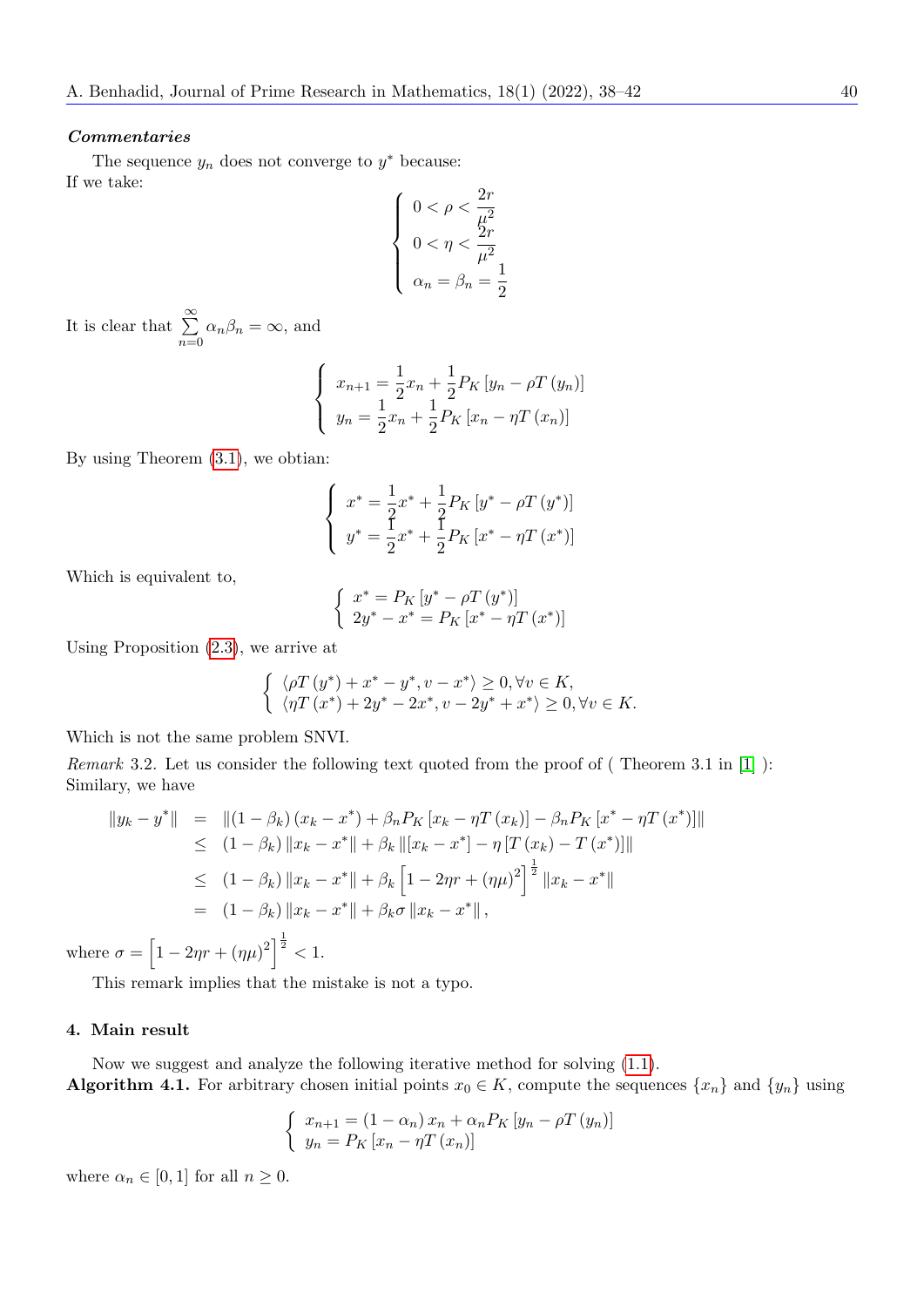#### Commentaries

The sequence  $y_n$  does not converge to  $y^*$  because: If we take:

$$
\left\{ \begin{array}{l} 0<\rho<\dfrac{2r}{\mu^2} \\ 0<\eta<\dfrac{2r}{\mu^2} \\ \alpha_n=\beta_n=\dfrac{1}{2} \end{array} \right.
$$

It is clear that  $\sum_{n=1}^{\infty}$  $n=0$  $\alpha_n\beta_n = \infty$ , and

$$
\begin{cases}\nx_{n+1} = \frac{1}{2}x_n + \frac{1}{2}P_K\left[y_n - \rho T\left(y_n\right)\right] \\
y_n = \frac{1}{2}x_n + \frac{1}{2}P_K\left[x_n - \eta T\left(x_n\right)\right]\n\end{cases}
$$

By using Theorem [\(3.1\)](#page-1-1), we obtian:

$$
\begin{cases}\nx^* = \frac{1}{2}x^* + \frac{1}{2}P_K\left[y^* - \rho T\left(y^*\right)\right] \\
y^* = \frac{1}{2}x^* + \frac{1}{2}P_K\left[x^* - \eta T\left(x^*\right)\right]\n\end{cases}
$$

Which is equivalent to,

$$
\left\{\begin{array}{l} x^*=P_K\left[y^*-\rho T\left(y^*\right)\right] \\ 2y^*-x^*=P_K\left[x^*-\eta T\left(x^*\right)\right] \end{array}\right.
$$

Using Proposition [\(2.3\)](#page-1-0), we arrive at

$$
\begin{cases} \langle \rho T\left(y^*\right)+x^*-y^*, v-x^*\rangle \geq 0, \forall v \in K, \\ \langle \eta T\left(x^*\right)+2y^*-2x^*, v-2y^*+x^*\rangle \geq 0, \forall v \in K. \end{cases}
$$

Which is not the same problem SNVI.

Remark 3.2. Let us consider the following text quoted from the proof of ( Theorem 3.1 in [\[1\]](#page-4-0) ): Similary, we have

$$
\|y_k - y^*\| = \| (1 - \beta_k) (x_k - x^*) + \beta_n P_K [x_k - \eta T(x_k)] - \beta_n P_K [x^* - \eta T(x^*)] \|
$$
  
\n
$$
\leq (1 - \beta_k) \|x_k - x^*\| + \beta_k \|[x_k - x^*] - \eta [T(x_k) - T(x^*)] \|
$$
  
\n
$$
\leq (1 - \beta_k) \|x_k - x^*\| + \beta_k [1 - 2\eta r + (\eta \mu)^2]^{\frac{1}{2}} \|x_k - x^*\|
$$
  
\n
$$
= (1 - \beta_k) \|x_k - x^*\| + \beta_k \sigma \|x_k - x^*\|,
$$

where  $\sigma = [1 - 2\eta r + (\eta \mu)^2]^{-\frac{1}{2}} < 1$ .

This remark implies that the mistake is not a typo.

### 4. Main result

Now we suggest and analyze the following iterative method for solving [\(1.1\)](#page-0-0). Algorithm 4.1. For arbitrary chosen initial points  $x_0 \in K$ , compute the sequences  $\{x_n\}$  and  $\{y_n\}$  using

$$
\begin{cases} x_{n+1} = (1 - \alpha_n) x_n + \alpha_n P_K \left[ y_n - \rho T \left( y_n \right) \right] \\ y_n = P_K \left[ x_n - \eta T \left( x_n \right) \right] \end{cases}
$$

where  $\alpha_n \in [0,1]$  for all  $n \geq 0$ .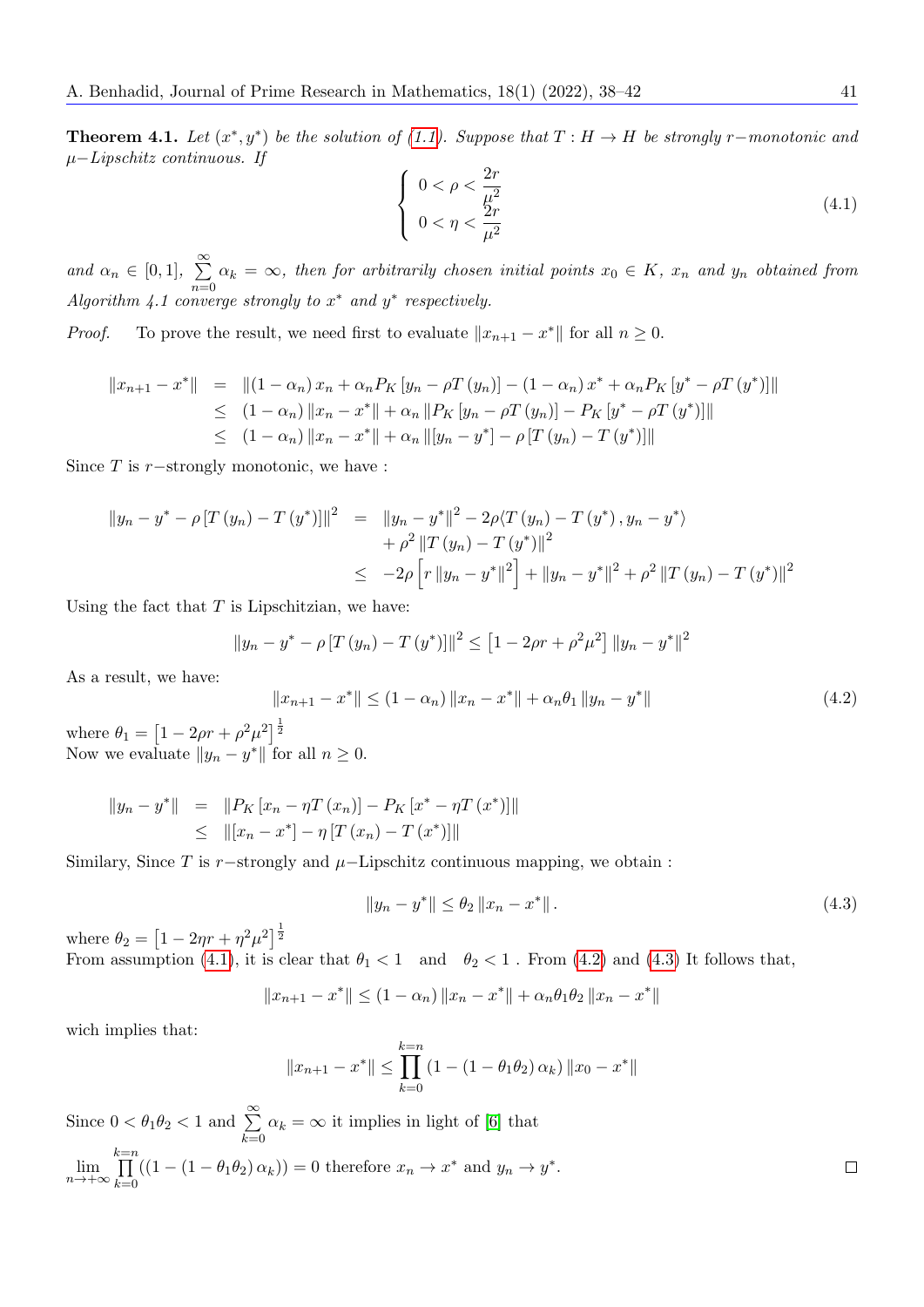**Theorem 4.1.** Let  $(x^*, y^*)$  be the solution of [\(1.1\)](#page-0-0). Suppose that  $T : H \to H$  be strongly r−monotonic and µ−Lipschitz continuous. If

<span id="page-3-0"></span>
$$
\begin{cases}\n0 < \rho < \frac{2r}{\mu^2} \\
0 < \eta < \frac{2r}{\mu^2}\n\end{cases}\n\tag{4.1}
$$

and  $\alpha_n \in [0,1], \sum_{n=1}^{\infty}$  $\sum_{n=0} \alpha_k = \infty$ , then for arbitrarily chosen initial points  $x_0 \in K$ ,  $x_n$  and  $y_n$  obtained from Algorithm 4.1 converge strongly to  $x^*$  and  $y^*$  respectively.

*Proof.* To prove the result, we need first to evaluate  $||x_{n+1} - x^*||$  for all  $n \ge 0$ .

$$
||x_{n+1} - x^*|| = ||(1 - \alpha_n)x_n + \alpha_n P_K [y_n - \rho T (y_n)] - (1 - \alpha_n)x^* + \alpha_n P_K [y^* - \rho T (y^*)]||
$$
  
\n
$$
\leq (1 - \alpha_n) ||x_n - x^*|| + \alpha_n ||P_K [y_n - \rho T (y_n)] - P_K [y^* - \rho T (y^*)]||
$$
  
\n
$$
\leq (1 - \alpha_n) ||x_n - x^*|| + \alpha_n ||[y_n - y^*] - \rho [T (y_n) - T (y^*)]||
$$

Since  $T$  is  $r$ −strongly monotonic, we have :

$$
||y_n - y^* - \rho [T (y_n) - T (y^*)]||^2 = ||y_n - y^*||^2 - 2\rho \langle T (y_n) - T (y^*) , y_n - y^* \rangle
$$
  
+  $\rho^2 ||T (y_n) - T (y^*)||^2$   

$$
\leq -2\rho [r ||y_n - y^*||^2] + ||y_n - y^*||^2 + \rho^2 ||T (y_n) - T (y^*)||^2
$$

Using the fact that  $T$  is Lipschitzian, we have:

<span id="page-3-1"></span> $\parallel$ 

$$
||y_n - y^* - \rho [T (y_n) - T (y^*)]||^2 \le [1 - 2\rho r + \rho^2 \mu^2] ||y_n - y^*||^2
$$

As a result, we have:

$$
x_{n+1} - x^* \parallel \le (1 - \alpha_n) \|x_n - x^*\| + \alpha_n \theta_1 \|y_n - y^*\|
$$
\n(4.2)

where  $\theta_1 = \left[1 - 2\rho r + \rho^2 \mu^2\right]^{\frac{1}{2}}$ Now we evaluate  $||y_n - y^*||$  for all  $n \geq 0$ .

$$
||y_n - y^*|| = ||P_K [x_n - \eta T (x_n)] - P_K [x^* - \eta T (x^*)]||
$$
  
\n
$$
\leq ||[x_n - x^*] - \eta [T (x_n) - T (x^*)]||
$$

Similary, Since T is  $r$ -strongly and  $\mu$ -Lipschitz continuous mapping, we obtain :

<span id="page-3-2"></span>
$$
||y_n - y^*|| \le \theta_2 ||x_n - x^*||. \tag{4.3}
$$

where  $\theta_2 = \left[1 - 2\eta r + \eta^2 \mu^2\right]^{\frac{1}{2}}$ 

From assumption [\(4.1\)](#page-3-0), it is clear that  $\theta_1 < 1$  and  $\theta_2 < 1$ . From [\(4.2\)](#page-3-1) and [\(4.3\)](#page-3-2) It follows that,

$$
||x_{n+1} - x^*|| \le (1 - \alpha_n) ||x_n - x^*|| + \alpha_n \theta_1 \theta_2 ||x_n - x^*||
$$

wich implies that:

$$
||x_{n+1} - x^*|| \le \prod_{k=0}^{k=n} (1 - (1 - \theta_1 \theta_2) \alpha_k) ||x_0 - x^*||
$$

Since  $0 < \theta_1 \theta_2 < 1$  and  $\sum_{n=1}^{\infty}$  $k=0$  $\alpha_k = \infty$  it implies in light of [\[6\]](#page-4-5) that

$$
\lim_{n \to +\infty} \prod_{k=0}^{k=n} ((1 - (1 - \theta_1 \theta_2) \alpha_k)) = 0
$$
 therefore  $x_n \to x^*$  and  $y_n \to y^*$ .